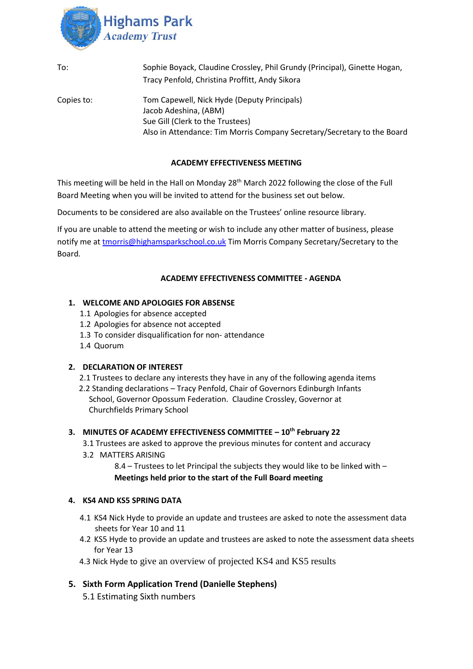

| To:        | Sophie Boyack, Claudine Crossley, Phil Grundy (Principal), Ginette Hogan,<br>Tracy Penfold, Christina Proffitt, Andy Sikora                                                         |
|------------|-------------------------------------------------------------------------------------------------------------------------------------------------------------------------------------|
| Copies to: | Tom Capewell, Nick Hyde (Deputy Principals)<br>Jacob Adeshina, (ABM)<br>Sue Gill (Clerk to the Trustees)<br>Also in Attendance: Tim Morris Company Secretary/Secretary to the Board |

#### **ACADEMY EFFECTIVENESS MEETING**

This meeting will be held in the Hall on Monday 28<sup>th</sup> March 2022 following the close of the Full Board Meeting when you will be invited to attend for the business set out below.

Documents to be considered are also available on the Trustees' online resource library.

If you are unable to attend the meeting or wish to include any other matter of business, please notify me at [tmorris@highamsparkschool.co.uk](mailto:tmorris@highamsparkschool.co.uk) Tim Morris Company Secretary/Secretary to the Board.

#### **ACADEMY EFFECTIVENESS COMMITTEE - AGENDA**

#### **1. WELCOME AND APOLOGIES FOR ABSENSE**

- 1.1 Apologies for absence accepted
- 1.2 Apologies for absence not accepted
- 1.3 To consider disqualification for non- attendance
- 1.4 Quorum

#### **2. DECLARATION OF INTEREST**

- 2.1 Trustees to declare any interests they have in any of the following agenda items
- 2.2 Standing declarations Tracy Penfold, Chair of Governors Edinburgh Infants School, Governor Opossum Federation. Claudine Crossley, Governor at Churchfields Primary School

#### **3. MINUTES OF ACADEMY EFFECTIVENESS COMMITTEE – 10th February 22**

- 3.1 Trustees are asked to approve the previous minutes for content and accuracy
- 3.2 MATTERS ARISING

8.4 – Trustees to let Principal the subjects they would like to be linked with – **Meetings held prior to the start of the Full Board meeting**

#### **4. KS4 AND KS5 SPRING DATA**

- 4.1 KS4 Nick Hyde to provide an update and trustees are asked to note the assessment data sheets for Year 10 and 11
- 4.2 KS5 Hyde to provide an update and trustees are asked to note the assessment data sheets for Year 13
- 4.3 Nick Hyde to give an overview of projected KS4 and KS5 results

### **5. Sixth Form Application Trend (Danielle Stephens)**

5.1 Estimating Sixth numbers